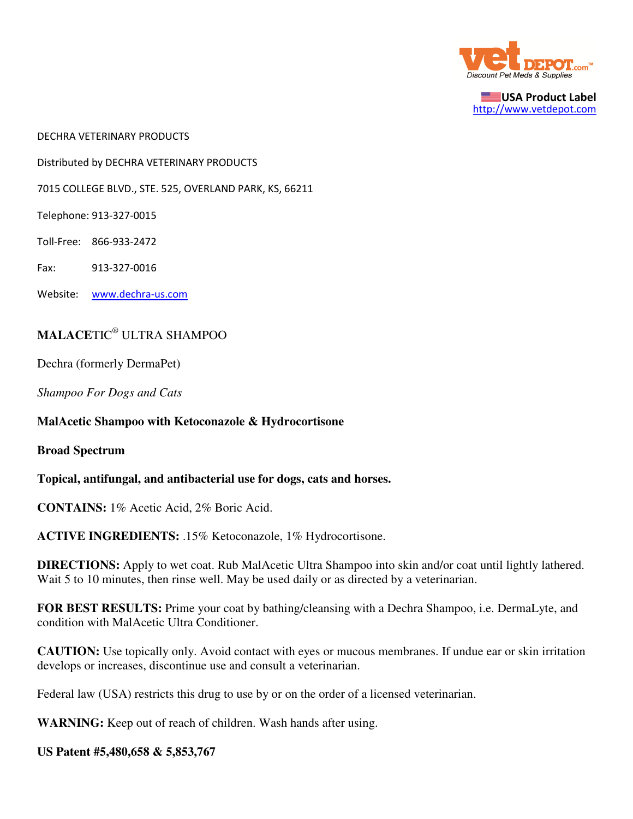

USA Product Label http://www.vetdepot.com

DECHRA VETERINARY PRODUCTS

Distributed by DECHRA VETERINARY PRODUCTS

7015 COLLEGE BLVD., STE. 525, OVERLAND PARK, KS, 66211

Telephone: 913-327-0015

Toll-Free: 866-933-2472

Fax: 913-327-0016

Website: www.dechra-us.com

## **MALACE**TIC® ULTRA SHAMPOO

Dechra (formerly DermaPet)

*Shampoo For Dogs and Cats*

**MalAcetic Shampoo with Ketoconazole & Hydrocortisone**

**Broad Spectrum**

**Topical, antifungal, and antibacterial use for dogs, cats and horses.**

**CONTAINS:** 1% Acetic Acid, 2% Boric Acid.

**ACTIVE INGREDIENTS:** .15% Ketoconazole, 1% Hydrocortisone.

**DIRECTIONS:** Apply to wet coat. Rub MalAcetic Ultra Shampoo into skin and/or coat until lightly lathered. Wait 5 to 10 minutes, then rinse well. May be used daily or as directed by a veterinarian.

**FOR BEST RESULTS:** Prime your coat by bathing/cleansing with a Dechra Shampoo, i.e. DermaLyte, and condition with MalAcetic Ultra Conditioner.

**CAUTION:** Use topically only. Avoid contact with eyes or mucous membranes. If undue ear or skin irritation develops or increases, discontinue use and consult a veterinarian.

Federal law (USA) restricts this drug to use by or on the order of a licensed veterinarian.

**WARNING:** Keep out of reach of children. Wash hands after using.

## **US Patent #5,480,658 & 5,853,767**